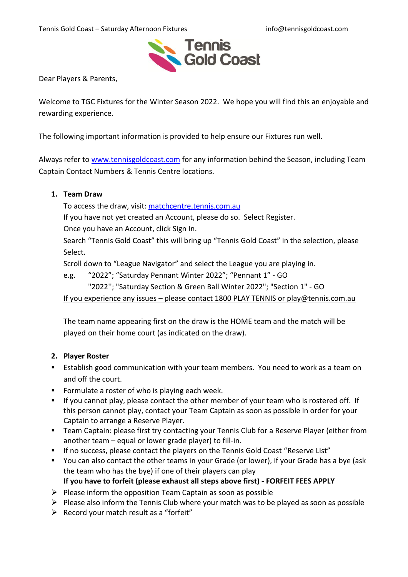Tennis Gold Coast – Saturday Afternoon Fixtures info@tennisgoldcoast.com



Dear Players & Parents,

Welcome to TGC Fixtures for the Winter Season 2022. We hope you will find this an enjoyable and rewarding experience.

The following important information is provided to help ensure our Fixtures run well.

Always refer to [www.tennisgoldcoast.com](http://www.tennisgoldcoast.com/) for any information behind the Season, including Team Captain Contact Numbers & Tennis Centre locations.

### **1. Team Draw**

To access the draw, visit: [matchcentre.tennis.com.au](Letter%20to%20Saturday%20Fixture%20Players.docx)

If you have not yet created an Account, please do so. Select Register.

Once you have an Account, click Sign In.

Search "Tennis Gold Coast" this will bring up "Tennis Gold Coast" in the selection, please Select.

Scroll down to "League Navigator" and select the League you are playing in.

e.g. "2022"; "Saturday Pennant Winter 2022"; "Pennant 1" - GO

"2022''; "Saturday Section & Green Ball Winter 2022"; "Section 1" - GO

If you experience any issues – please contact 1800 PLAY TENNIS or play@tennis.com.au

The team name appearing first on the draw is the HOME team and the match will be played on their home court (as indicated on the draw).

### **2. Player Roster**

- **Establish good communication with your team members. You need to work as a team on** and off the court.
- Formulate a roster of who is playing each week.
- If you cannot play, please contact the other member of your team who is rostered off. If this person cannot play, contact your Team Captain as soon as possible in order for your Captain to arrange a Reserve Player.
- Team Captain: please first try contacting your Tennis Club for a Reserve Player (either from another team – equal or lower grade player) to fill-in.
- If no success, please contact the players on the Tennis Gold Coast "Reserve List"
- You can also contact the other teams in your Grade (or lower), if your Grade has a bye (ask the team who has the bye) if one of their players can play **If you have to forfeit (please exhaust all steps above first) - FORFEIT FEES APPLY**
- $\triangleright$  Please inform the opposition Team Captain as soon as possible
- $\triangleright$  Please also inform the Tennis Club where your match was to be played as soon as possible
- $\triangleright$  Record your match result as a "forfeit"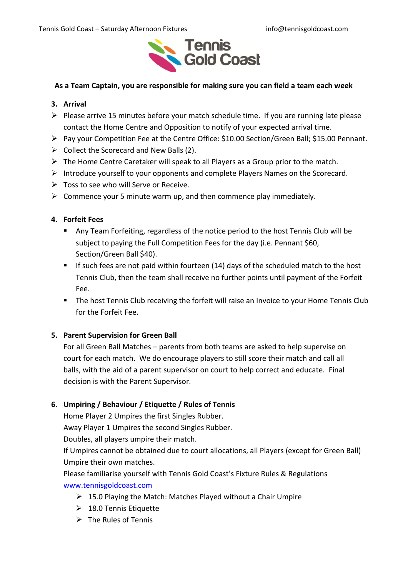

### **As a Team Captain, you are responsible for making sure you can field a team each week**

#### **3. Arrival**

- $\triangleright$  Please arrive 15 minutes before your match schedule time. If you are running late please contact the Home Centre and Opposition to notify of your expected arrival time.
- Pay your Competition Fee at the Centre Office: \$10.00 Section/Green Ball; \$15.00 Pennant.
- $\triangleright$  Collect the Scorecard and New Balls (2).
- $\triangleright$  The Home Centre Caretaker will speak to all Players as a Group prior to the match.
- $\triangleright$  Introduce yourself to your opponents and complete Players Names on the Scorecard.
- $\triangleright$  Toss to see who will Serve or Receive.
- $\triangleright$  Commence your 5 minute warm up, and then commence play immediately.

### **4. Forfeit Fees**

- Any Team Forfeiting, regardless of the notice period to the host Tennis Club will be subject to paying the Full Competition Fees for the day (i.e. Pennant \$60, Section/Green Ball \$40).
- $\blacksquare$  If such fees are not paid within fourteen (14) days of the scheduled match to the host Tennis Club, then the team shall receive no further points until payment of the Forfeit Fee.
- **The host Tennis Club receiving the forfeit will raise an Invoice to your Home Tennis Club** for the Forfeit Fee.

### **5. Parent Supervision for Green Ball**

For all Green Ball Matches – parents from both teams are asked to help supervise on court for each match. We do encourage players to still score their match and call all balls, with the aid of a parent supervisor on court to help correct and educate. Final decision is with the Parent Supervisor.

# **6. Umpiring / Behaviour / Etiquette / Rules of Tennis**

Home Player 2 Umpires the first Singles Rubber.

Away Player 1 Umpires the second Singles Rubber.

Doubles, all players umpire their match.

If Umpires cannot be obtained due to court allocations, all Players (except for Green Ball) Umpire their own matches.

Please familiarise yourself with Tennis Gold Coast's Fixture Rules & Regulations [www.tennisgoldcoast.com](http://www.tennisgoldcoast.com/)

- $\geq 15.0$  Playing the Match: Matches Played without a Chair Umpire
- $\geq 18.0$  Tennis Etiquette
- $\triangleright$  The Rules of Tennis